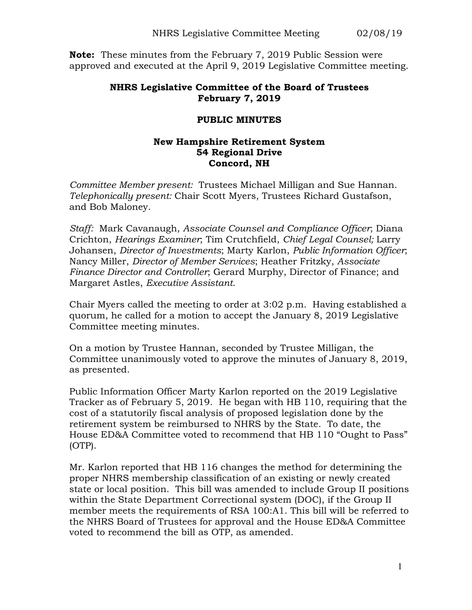**Note:** These minutes from the February 7, 2019 Public Session were approved and executed at the April 9, 2019 Legislative Committee meeting.

## **NHRS Legislative Committee of the Board of Trustees February 7, 2019**

## **PUBLIC MINUTES**

## **New Hampshire Retirement System 54 Regional Drive Concord, NH**

*Committee Member present:* Trustees Michael Milligan and Sue Hannan. *Telephonically present:* Chair Scott Myers, Trustees Richard Gustafson, and Bob Maloney.

*Staff:* Mark Cavanaugh, *Associate Counsel and Compliance Officer*; Diana Crichton, *Hearings Examiner*; Tim Crutchfield, *Chief Legal Counsel;* Larry Johansen, *Director of Investments*; Marty Karlon, *Public Information Officer*; Nancy Miller, *Director of Member Services*; Heather Fritzky, *Associate Finance Director and Controller*; Gerard Murphy, Director of Finance; and Margaret Astles, *Executive Assistant*.

Chair Myers called the meeting to order at 3:02 p.m. Having established a quorum, he called for a motion to accept the January 8, 2019 Legislative Committee meeting minutes.

On a motion by Trustee Hannan, seconded by Trustee Milligan, the Committee unanimously voted to approve the minutes of January 8, 2019, as presented.

Public Information Officer Marty Karlon reported on the 2019 Legislative Tracker as of February 5, 2019. He began with HB 110, requiring that the cost of a statutorily fiscal analysis of proposed legislation done by the retirement system be reimbursed to NHRS by the State. To date, the House ED&A Committee voted to recommend that HB 110 "Ought to Pass" (OTP).

Mr. Karlon reported that HB 116 changes the method for determining the proper NHRS membership classification of an existing or newly created state or local position. This bill was amended to include Group II positions within the State Department Correctional system (DOC), if the Group II member meets the requirements of RSA 100:A1. This bill will be referred to the NHRS Board of Trustees for approval and the House ED&A Committee voted to recommend the bill as OTP, as amended.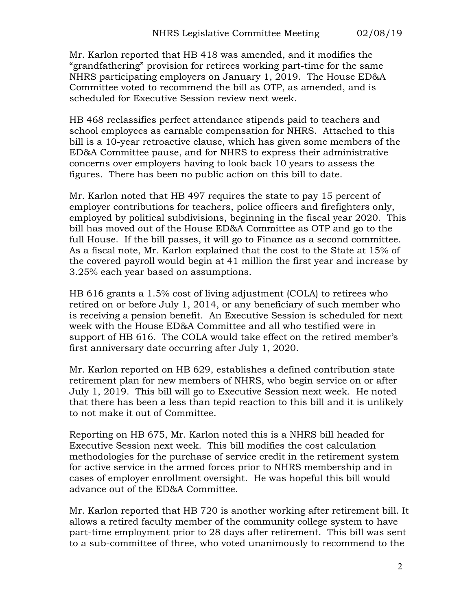Mr. Karlon reported that HB 418 was amended, and it modifies the "grandfathering" provision for retirees working part-time for the same NHRS participating employers on January 1, 2019. The House ED&A Committee voted to recommend the bill as OTP, as amended, and is scheduled for Executive Session review next week.

HB 468 reclassifies perfect attendance stipends paid to teachers and school employees as earnable compensation for NHRS. Attached to this bill is a 10-year retroactive clause, which has given some members of the ED&A Committee pause, and for NHRS to express their administrative concerns over employers having to look back 10 years to assess the figures. There has been no public action on this bill to date.

Mr. Karlon noted that HB 497 requires the state to pay 15 percent of employer contributions for teachers, police officers and firefighters only, employed by political subdivisions, beginning in the fiscal year 2020. This bill has moved out of the House ED&A Committee as OTP and go to the full House. If the bill passes, it will go to Finance as a second committee. As a fiscal note, Mr. Karlon explained that the cost to the State at 15% of the covered payroll would begin at 41 million the first year and increase by 3.25% each year based on assumptions.

HB 616 grants a 1.5% cost of living adjustment (COLA) to retirees who retired on or before July 1, 2014, or any beneficiary of such member who is receiving a pension benefit. An Executive Session is scheduled for next week with the House ED&A Committee and all who testified were in support of HB 616. The COLA would take effect on the retired member's first anniversary date occurring after July 1, 2020.

Mr. Karlon reported on HB 629, establishes a defined contribution state retirement plan for new members of NHRS, who begin service on or after July 1, 2019. This bill will go to Executive Session next week. He noted that there has been a less than tepid reaction to this bill and it is unlikely to not make it out of Committee.

Reporting on HB 675, Mr. Karlon noted this is a NHRS bill headed for Executive Session next week. This bill modifies the cost calculation methodologies for the purchase of service credit in the retirement system for active service in the armed forces prior to NHRS membership and in cases of employer enrollment oversight. He was hopeful this bill would advance out of the ED&A Committee.

Mr. Karlon reported that HB 720 is another working after retirement bill. It allows a retired faculty member of the community college system to have part-time employment prior to 28 days after retirement. This bill was sent to a sub-committee of three, who voted unanimously to recommend to the